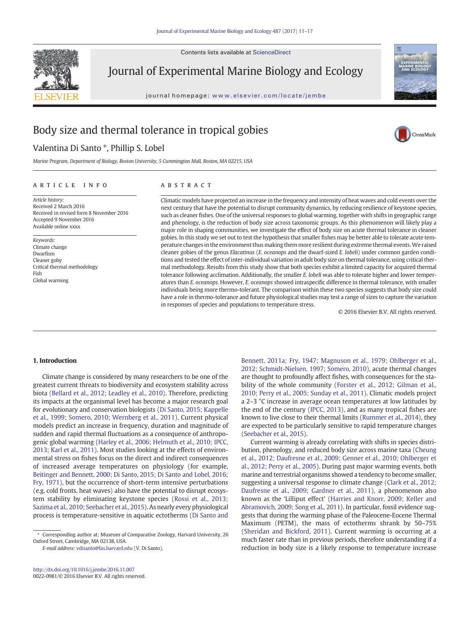Contents lists available at ScienceDirect



Journal of Experimental Marine Biology and Ecology

journal homepage: <www.elsevier.com/locate/jembe>



.<br>CrossMark

# Body size and thermal tolerance in tropical gobies

## Valentina Di Santo \*, Phillip S. Lobel

Marine Program, Department of Biology, Boston University, 5 Cummington Mall, Boston, MA 02215, USA

#### article info abstract

Article history: Received 2 March 2016 Received in revised form 8 November 2016 Accepted 9 November 2016 Available online xxxx

Keywords: Climate change Dwarfism Cleaner goby Critical thermal methodology Fish Global warming

Climatic models have projected an increase in the frequency and intensity of heat waves and cold events over the next century that have the potential to disrupt community dynamics, by reducing resilience of keystone species, such as cleaner fishes. One of the universal responses to global warming, together with shifts in geographic range and phenology, is the reduction of body size across taxonomic groups. As this phenomenon will likely play a major role in shaping communities, we investigate the effect of body size on acute thermal tolerance in cleaner gobies. In this study we set out to test the hypothesis that smaller fishes may be better able to tolerate acute temperature changes in the environment thus making them more resilient during extreme thermal events.We raised cleaner gobies of the genus Elacatinus (E. oceanops and the dwarf-sized E. lobeli) under common garden conditions and tested the effect of inter-individual variation in adult body size on thermal tolerance, using critical thermal methodology. Results from this study show that both species exhibit a limited capacity for acquired thermal tolerance following acclimation. Additionally, the smaller E. lobeli was able to tolerate higher and lower temperatures than E. oceanops. However, E. oceanops showed intraspecific difference in thermal tolerance, with smaller individuals being more thermo-tolerant. The comparison within these two species suggests that body size could have a role in thermo-tolerance and future physiological studies may test a range of sizes to capture the variation in responses of species and populations to temperature stress.

© 2016 Elsevier B.V. All rights reserved.

#### 1. Introduction

Climate change is considered by many researchers to be one of the greatest current threats to biodiversity and ecosystem stability across biota ([Bellard et al., 2012; Leadley et al., 2010](#page-5-0)). Therefore, predicting its impacts at the organismal level has become a major research goal for evolutionary and conservation biologists ([Di Santo, 2015; Kappelle](#page-5-0) [et al., 1999; Somero, 2010; Wernberg et al., 2011\)](#page-5-0). Current physical models predict an increase in frequency, duration and magnitude of sudden and rapid thermal fluctuations as a consequence of anthropogenic global warming [\(Harley et al., 2006; Helmuth et al., 2010; IPCC,](#page-5-0) [2013; Karl et al., 2011](#page-5-0)). Most studies looking at the effects of environmental stress on fishes focus on the direct and indirect consequences of increased average temperatures on physiology (for example, [Beitinger and Bennett, 2000; Di Santo, 2015; Di Santo and Lobel, 2016;](#page-5-0) [Fry, 1971\)](#page-5-0), but the occurrence of short-term intensive perturbations (e.g. cold fronts, heat waves) also have the potential to disrupt ecosystem stability by eliminating keystone species [\(Rossi et al., 2013;](#page-6-0) [Sazima et al., 2010; Seebacher et al., 2015\)](#page-6-0). As nearly every physiological process is temperature-sensitive in aquatic ectotherms [\(Di Santo and](#page-5-0)

E-mail address: [vdisanto@fas.harvard.edu](mailto:vdisanto@fas.harvard.edu) (V. Di Santo).

[Bennett, 2011a; Fry, 1947; Magnuson et al., 1979; Ohlberger et al.,](#page-5-0) [2012; Schmidt-Nielsen, 1997; Somero, 2010\)](#page-5-0), acute thermal changes are thought to profoundly affect fishes, with consequences for the stability of the whole community ([Forster et al., 2012; Gilman et al.,](#page-5-0) [2010; Perry et al., 2005; Sunday et al., 2011](#page-5-0)). Climatic models project a 2–3 °C increase in average ocean temperatures at low latitudes by the end of the century [\(IPCC, 2013\)](#page-5-0), and as many tropical fishes are known to live close to their thermal limits [\(Rummer et al., 2014](#page-6-0)), they are expected to be particularly sensitive to rapid temperature changes [\(Seebacher et al., 2015\)](#page-6-0).

Current warming is already correlating with shifts in species distribution, phenology, and reduced body size across marine taxa [\(Cheung](#page-5-0) [et al., 2012; Daufresne et al., 2009; Genner et al., 2010; Ohlberger et](#page-5-0) [al., 2012; Perry et al., 2005\)](#page-5-0). During past major warming events, both marine and terrestrial organisms showed a tendency to become smaller, suggesting a universal response to climate change [\(Clark et al., 2012;](#page-5-0) [Daufresne et al., 2009; Gardner et al., 2011\)](#page-5-0), a phenomenon also known as the 'Lilliput effect' [\(Harries and Knorr, 2009; Keller and](#page-5-0) [Abramovich, 2009; Song et al., 2011\)](#page-5-0). In particular, fossil evidence suggests that during the warming phase of the Paleocene-Eocene Thermal Maximum (PETM), the mass of ectotherms shrank by 50–75% [\(Sheridan and Bickford, 2011\)](#page-6-0). Current warming is occurring at a much faster rate than in previous periods, therefore understanding if a reduction in body size is a likely response to temperature increase

<sup>⁎</sup> Corresponding author at: Museum of Comparative Zoology, Harvard University, 26 Oxford Street, Cambridge, MA 02138, USA.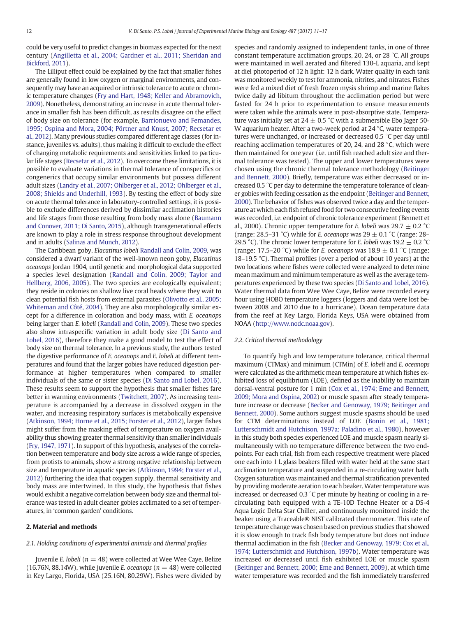could be very useful to predict changes in biomass expected for the next century ([Angilletta et al., 2004; Gardner et al., 2011; Sheridan and](#page-5-0) [Bickford, 2011\)](#page-5-0).

The Lilliput effect could be explained by the fact that smaller fishes are generally found in low oxygen or marginal environments, and consequently may have an acquired or intrinsic tolerance to acute or chronic temperature changes ([Fry and Hart, 1948; Keller and Abramovich,](#page-5-0) [2009\)](#page-5-0). Nonetheless, demonstrating an increase in acute thermal tolerance in smaller fish has been difficult, as results disagree on the effect of body size on tolerance (for example, [Barrionuevo and Femandes,](#page-5-0) [1995; Ospina and Mora, 2004; Pörtner and Knust, 2007; Recsetar et](#page-5-0) [al., 2012\)](#page-5-0). Many previous studies compared different age classes (for instance, juveniles vs. adults), thus making it difficult to exclude the effect of changing metabolic requirements and sensitivities linked to particular life stages [\(Recsetar et al., 2012\)](#page-6-0). To overcome these limitations, it is possible to evaluate variations in thermal tolerance of conspecifics or congenerics that occupy similar environments but possess different adult sizes ([Landry et al., 2007; Ohlberger et al., 2012; Ohlberger et al.,](#page-5-0) [2008; Shields and Underhill, 1993](#page-5-0)). By testing the effect of body size on acute thermal tolerance in laboratory-controlled settings, it is possible to exclude differences derived by dissimilar acclimation histories and life stages from those resulting from body mass alone [\(Baumann](#page-5-0) [and Conover, 2011; Di Santo, 2015](#page-5-0)), although transgenerational effects are known to play a role in stress response throughout development and in adults [\(Salinas and Munch, 2012](#page-6-0)).

The Caribbean goby, Elacatinus lobeli [Randall and Colin, 2009](#page-6-0), was considered a dwarf variant of the well-known neon goby, Elacatinus oceanops Jordan 1904, until genetic and morphological data supported a species level designation [\(Randall and Colin, 2009; Taylor and](#page-6-0) [Hellberg, 2006, 2005](#page-6-0)). The two species are ecologically equivalent; they reside in colonies on shallow live coral heads where they wait to clean potential fish hosts from external parasites [\(Olivotto et al., 2005;](#page-6-0) [Whiteman and Côté, 2004](#page-6-0)). They are also morphologically similar except for a difference in coloration and body mass, with E. oceanops being larger than E. lobeli [\(Randall and Colin, 2009](#page-6-0)). These two species also show intraspecific variation in adult body size ([Di Santo and](#page-5-0) [Lobel, 2016](#page-5-0)), therefore they make a good model to test the effect of body size on thermal tolerance. In a previous study, the authors tested the digestive performance of E. oceanops and E. lobeli at different temperatures and found that the larger gobies have reduced digestion performance at higher temperatures when compared to smaller individuals of the same or sister species [\(Di Santo and Lobel, 2016](#page-5-0)). These results seem to support the hypothesis that smaller fishes fare better in warming environments ([Twitchett, 2007](#page-6-0)). As increasing temperature is accompanied by a decrease in dissolved oxygen in the water, and increasing respiratory surfaces is metabolically expensive [\(Atkinson, 1994; Horne et al., 2015; Forster et al., 2012](#page-5-0)), larger fishes might suffer from the masking effect of temperature on oxygen availability thus showing greater thermal sensitivity than smaller individuals [\(Fry, 1947, 1971](#page-5-0)). In support of this hypothesis, analyses of the correlation between temperature and body size across a wide range of species, from protists to animals, show a strong negative relationship between size and temperature in aquatic species [\(Atkinson, 1994; Forster et al.,](#page-5-0) [2012\)](#page-5-0) furthering the idea that oxygen supply, thermal sensitivity and body mass are intertwined. In this study, the hypothesis that fishes would exhibit a negative correlation between body size and thermal tolerance was tested in adult cleaner gobies acclimated to a set of temperatures, in 'common garden' conditions.

#### 2. Material and methods

#### 2.1. Holding conditions of experimental animals and thermal profiles

Juvenile E. lobeli ( $n = 48$ ) were collected at Wee Wee Caye, Belize (16.76N, 88.14W), while juvenile E. oceanops ( $n = 48$ ) were collected in Key Largo, Florida, USA (25.16N, 80.29W). Fishes were divided by species and randomly assigned to independent tanks, in one of three constant temperature acclimation groups, 20, 24, or 28 °C. All groups were maintained in well aerated and filtered 130-L aquaria, and kept at diel photoperiod of 12 h light: 12 h dark. Water quality in each tank was monitored weekly to test for ammonia, nitrites, and nitrates. Fishes were fed a mixed diet of fresh frozen mysis shrimp and marine flakes twice daily ad libitum throughout the acclimation period but were fasted for 24 h prior to experimentation to ensure measurements were taken while the animals were in post-absorptive state. Temperature was initially set at 24  $\pm$  0.5 °C with a submersible Ebo Jager 50-W aquarium heater. After a two-week period at 24 °C, water temperatures were unchanged, or increased or decreased 0.5 °C per day until reaching acclimation temperatures of 20, 24, and 28 °C, which were then maintained for one year (i.e. until fish reached adult size and thermal tolerance was tested). The upper and lower temperatures were chosen using the chronic thermal tolerance methodology [\(Beitinger](#page-5-0) [and Bennett, 2000\)](#page-5-0). Briefly, temperature was either decreased or increased 0.5 °C per day to determine the temperature tolerance of cleaner gobies with feeding cessation as the endpoint ([Beitinger and Bennett,](#page-5-0) [2000\)](#page-5-0). The behavior of fishes was observed twice a day and the temperature at which each fish refused food for two consecutive feeding events was recorded, i.e. endpoint of chronic tolerance experiment (Bennett et al., 2000). Chronic upper temperature for E. lobeli was  $29.7 \pm 0.2$  °C (range: 28.5–31 °C) while for E. oceanops was  $29 \pm 0.1$  °C (range: 28– 29.5 °C). The chronic lower temperature for E. lobeli was  $19.2 \pm 0.2$  °C (range: 17.5–20 °C) while for *E*. oceanops was  $18.9 \pm 0.1$  °C (range: 18–19.5 °C). Thermal profiles (over a period of about 10 years) at the two locations where fishes were collected were analyzed to determine mean maximum and minimum temperature as well as the average temperatures experienced by these two species ([Di Santo and Lobel, 2016\)](#page-5-0). Water thermal data from Wee Wee Caye, Belize were recorded every hour using HOBO temperature loggers (loggers and data were lost between 2008 and 2010 due to a hurricane). Ocean temperature data from the reef at Key Largo, Florida Keys, USA were obtained from NOAA (<http://www.nodc.noaa.gov>).

#### 2.2. Critical thermal methodology

To quantify high and low temperature tolerance, critical thermal maximum (CTMax) and minimum (CTMin) of E. lobeli and E. oceanops were calculated as the arithmetic mean temperature at which fishes exhibited loss of equilibrium (LOE), defined as the inability to maintain dorsal-ventral posture for 1 min [\(Cox et al., 1974; Eme and Bennett,](#page-5-0) [2009; Mora and Ospina, 2002\)](#page-5-0) or muscle spasm after steady temperature increase or decrease [\(Becker and Genoway, 1979; Beitinger and](#page-5-0) [Bennett, 2000](#page-5-0)). Some authors suggest muscle spasms should be used for CTM determinations instead of LOE [\(Bonin et al., 1981;](#page-5-0) [Lutterschmidt and Hutchison, 1997a; Paladino et al., 1980](#page-5-0)), however in this study both species experienced LOE and muscle spasm nearly simultaneously with no temperature difference between the two endpoints. For each trial, fish from each respective treatment were placed one each into 1 L glass beakers filled with water held at the same start acclimation temperature and suspended in a re-circulating water bath. Oxygen saturation was maintained and thermal stratification prevented by providing moderate aeration to each beaker. Water temperature was increased or decreased 0.3 °C per minute by heating or cooling in a recirculating bath equipped with a TE-10D Techne Heater or a DS-4 Aqua Logic Delta Star Chiller, and continuously monitored inside the beaker using a Traceable® NIST calibrated thermometer. This rate of temperature change was chosen based on previous studies that showed it is slow enough to track fish body temperature but does not induce thermal acclimation in the fish ([Becker and Genoway, 1979; Cox et al.,](#page-5-0) [1974; Lutterschmidt and Hutchison, 1997b](#page-5-0)). Water temperature was increased or decreased until fish exhibited LOE or muscle spasm [\(Beitinger and Bennett, 2000; Eme and Bennett, 2009](#page-5-0)), at which time water temperature was recorded and the fish immediately transferred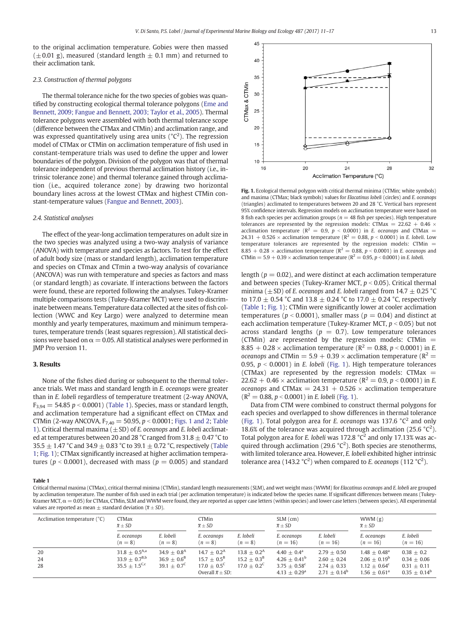to the original acclimation temperature. Gobies were then massed  $(\pm 0.01 \text{ g})$ , measured (standard length  $\pm 0.1 \text{ mm}$ ) and returned to their acclimation tank.

#### 2.3. Construction of thermal polygons

The thermal tolerance niche for the two species of gobies was quantified by constructing ecological thermal tolerance polygons [\(Eme and](#page-5-0) [Bennett, 2009; Fangue and Bennett, 2003; Taylor et al., 2005\)](#page-5-0). Thermal tolerance polygons were assembled with both thermal tolerance scope (difference between the CTMax and CTMin) and acclimation range, and was expressed quantitatively using area units ( $^{\circ}C^{2}$ ). The regression model of CTMax or CTMin on acclimation temperature of fish used in constant-temperature trials was used to define the upper and lower boundaries of the polygon. Division of the polygon was that of thermal tolerance independent of previous thermal acclimation history (i.e., intrinsic tolerance zone) and thermal tolerance gained through acclimation (i.e., acquired tolerance zone) by drawing two horizontal boundary lines across at the lowest CTMax and highest CTMin constant-temperature values ([Fangue and Bennett, 2003](#page-5-0)).

#### 2.4. Statistical analyses

The effect of the year-long acclimation temperatures on adult size in the two species was analyzed using a two-way analysis of variance (ANOVA) with temperature and species as factors. To test for the effect of adult body size (mass or standard length), acclimation temperature and species on CTmax and CTmin a two-way analysis of covariance (ANCOVA) was run with temperature and species as factors and mass (or standard length) as covariate. If interactions between the factors were found, these are reported following the analyses. Tukey-Kramer multiple comparisons tests (Tukey-Kramer MCT) were used to discriminate between means. Temperature data collected at the sites of fish collection (WWC and Key Largo) were analyzed to determine mean monthly and yearly temperatures, maximum and minimum temperatures, temperature trends (least squares regression). All statistical decisions were based on  $\alpha = 0.05$ . All statistical analyses were performed in JMP Pro version 11.

#### 3. Results

None of the fishes died during or subsequent to the thermal tolerance trials. Wet mass and standard length in E. oceanops were greater than in E. lobeli regardless of temperature treatment (2-way ANOVA,  $F_3$ <sub>94</sub> = 54.85 p < 0.0001) (Table 1). Species, mass or standard length, and acclimation temperature had a significant effect on CTMax and CTMin (2-way ANCOVA,  $F_{7,40} = 50.95$ ,  $p < 0.0001$ ; Figs. 1 and 2; Table 1). Critical thermal maxima  $(\pm SD)$  of *E*. oceanops and *E*. lobeli acclimated at temperatures between 20 and 28 °C ranged from 31.8  $\pm$  0.47 °C to 35.5  $\pm$  1.47 °C and 34.9  $\pm$  0.83 °C to 39.1  $\pm$  0.72 °C, respectively (Table 1; Fig. 1); CTMax significantly increased at higher acclimation temperatures ( $p < 0.0001$ ), decreased with mass ( $p = 0.005$ ) and standard



Fig. 1. Ecological thermal polygon with critical thermal minima (CTMin; white symbols) and maxima (CTMax; black symbols) values for Elacatinus lobeli (circles) and E. oceanops (triangles) acclimated to temperatures between 20 and 28 °C. Vertical bars represent 95% confidence intervals. Regression models on acclimation temperature were based on 8 fish each species per acclimation groups ( $n = 48$  fish per species). High temperature tolerances are represented by the regression models: CTMax =  $22.62 + 0.46 \times$ acclimation temperature ( $R^2 = 0.9$ ,  $p < 0.0001$ ) in E. oceanops and CTMax = 24.31 + 0.526  $\times$  acclimation temperature (R<sup>2</sup> = 0.88, p < 0.0001) in E. lobeli. Low temperature tolerances are represented by the regression models: CTMin = 8.85 + 0.28  $\times$  acclimation temperature (R<sup>2</sup> = 0.88, p < 0.0001) in E. oceanops and CTMin =  $5.9 + 0.39 \times$  acclimation temperature ( $R^2 = 0.95$ ,  $p < 0.0001$ ) in *E. lobeli.* 

length ( $p = 0.02$ ), and were distinct at each acclimation temperature and between species (Tukey-Kramer MCT,  $p < 0.05$ ). Critical thermal minima ( $\pm$ SD) of *E. oceanops* and *E. lobeli* ranged from 14.7  $\pm$  0.25 °C to 17.0  $\pm$  0.54 °C and 13.8  $\pm$  0.24 °C to 17.0  $\pm$  0.24 °C, respectively (Table 1; Fig. 1); CTMin were significantly lower at cooler acclimation temperatures ( $p < 0.0001$ ), smaller mass ( $p = 0.04$ ) and distinct at each acclimation temperature (Tukey-Kramer MCT,  $p < 0.05$ ) but not across standard lengths ( $p = 0.7$ ). Low temperature tolerances (CTMin) are represented by the regression models: CTMin  $=$ 8.85 + 0.28  $\times$  acclimation temperature (R<sup>2</sup> = 0.88, p < 0.0001) in E. oceanops and CTMin = 5.9 + 0.39  $\times$  acclimation temperature ( $R^2$  = 0.95,  $p < 0.0001$ ) in E. lobeli (Fig. 1). High temperature tolerances (CTMax) are represented by the regression models: CTMax  $=$ 22.62 + 0.46  $\times$  acclimation temperature ( $R^2 = 0.9$ ,  $p < 0.0001$ ) in E. oceanops and CTMax =  $24.31 + 0.526 \times$  acclimation temperature  $(R^2 = 0.88, p < 0.0001)$  in E. lobeli (Fig. 1).

Data from CTM were combined to construct thermal polygons for each species and overlapped to show differences in thermal tolerance (Fig. 1). Total polygon area for E. oceanops was 137.6  $^{\circ}C^{2}$  and only 18.6% of the tolerance was acquired through acclimation (25.6  $°C^2$ ). Total polygon area for E. lobeli was 172.8  $^{\circ}$ C<sup>2</sup> and only 17.13% was acquired through acclimation (29.6  $°C^2$ ). Both species are stenotherms, with limited tolerance area. However, E. lobeli exhibited higher intrinsic tolerance area (143.2 °C<sup>2</sup>) when compared to *E*. oceanops (112 °C<sup>2</sup>).

Table 1

Critical thermal maxima (CTMax), critical thermal minima (CTMin), standard length measurements (SLM), and wet weight mass (WWM) for Elacatinus oceanops and E. lobeli are grouped by acclimation temperature. The number of fish used in each trial (per acclimation temperature) is indicated below the species name. If significant differences between means (Tukey-Kramer MCT,  $\alpha$  = 0.05) for CTMax, CTMin, SLM and WWM were found, they are reported as upper case letters (within species) and lower case letters (between species). All experimental values are reported as mean  $\pm$  standard deviation ( $\bar{x} \pm SD$ ).

| Acclimation temperature (°C) | <b>CTMax</b>                                                   |                                                         | <b>CTMin</b>                                                                                         |                                                                  | $SLM$ (cm)                                                                                        |                                                                    | WWM(g)                                                                                         |                                                                   |
|------------------------------|----------------------------------------------------------------|---------------------------------------------------------|------------------------------------------------------------------------------------------------------|------------------------------------------------------------------|---------------------------------------------------------------------------------------------------|--------------------------------------------------------------------|------------------------------------------------------------------------------------------------|-------------------------------------------------------------------|
|                              | $\overline{x}$ $\pm$ SD                                        |                                                         | $\overline{x}$ $\pm$ SD                                                                              |                                                                  | $\overline{x}$ $\pm$ SD                                                                           |                                                                    | $\overline{x}$ $\pm$ SD                                                                        |                                                                   |
|                              | E. oceanops                                                    | E. lobeli                                               | E. oceanops                                                                                          | E. lobeli                                                        | E. oceanops                                                                                       | E. lobeli                                                          | E. oceanops                                                                                    | E. lobeli                                                         |
|                              | $(n=8)$                                                        | $(n=8)$                                                 | $(n=8)$                                                                                              | $(n=8)$                                                          | $(n = 16)$                                                                                        | $(n = 16)$                                                         | $(n = 16)$                                                                                     | $(n = 16)$                                                        |
| 20<br>24<br>28               | $31.8 + 0.5^{A,a}$<br>$33.9 + 0.7^{B,b}$<br>$35.5 + 1.5^{c,c}$ | $34.9 + 0.8A$<br>$36.9 + 0.6^B$<br>$39.1 + 0.7^{\circ}$ | $14.7 + 0.2^{\text{A}}$<br>$15.7 + 0.5^B$<br>$17.0 + 0.5^{\circ}$<br>Overall $\overline{x} \pm SD$ : | $13.8 + 0.2^{\text{A}}$<br>$15.2 + 0.3B$<br>$17.0 + 0.2^{\circ}$ | $4.40 + 0.4^{\text{a}}$<br>$4.26 + 0.41^b$<br>$3.75 + 0.58^{\circ}$<br>$4.13 + 0.29$ <sup>a</sup> | $2.79 + 0.50$<br>$2.60 + 0.24$<br>$2.74 + 0.33$<br>$2.71 + 0.14^b$ | $1.48 + 0.48$ <sup>a</sup><br>$2.06 + 0.19^b$<br>$1.12 + 0.64^c$<br>$1.56 + 0.61$ <sup>a</sup> | $0.38 + 0.2$<br>$0.34 + 0.06$<br>$0.31 + 0.11$<br>$0.35 + 0.14^b$ |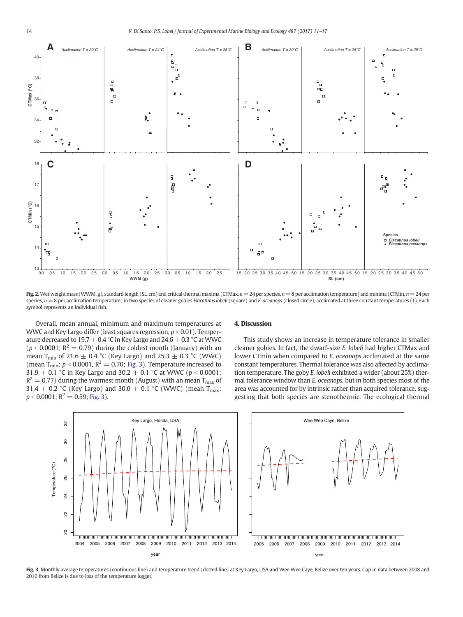

Fig. 2. Wet weight mass (WWM, g), standard length (SL, cm) and critical thermal maxima (CTMax,  $n = 24$  per species,  $n = 8$  per acclimation temperature) and minima (CTMin,  $n = 24$  per species,  $n = 8$  per acclimation temperature) in two species of cleaner gobies Elacatinus lobeli (square) and E. oceanops (closed circle), acclimated at three constant temperatures (T). Each symbol represents an individual fish.

Overall, mean annual, minimum and maximum temperatures at WWC and Key Largo differ (least squares regression,  $p < 0.01$ ). Temperature decreased to 19.7  $\pm$  0.4 °C in Key Largo and 24.6  $\pm$  0.3 °C at WWC  $(p < 0.0001; R<sup>2</sup> = 0.79)$  during the coldest month (January) with an mean T<sub>min</sub> of 21.6  $\pm$  0.4 °C (Key Largo) and 25.3  $\pm$  0.3 °C (WWC) (mean T<sub>min</sub>:  $p < 0.0001$ ,  $R^2 = 0.70$ ; Fig. 3). Temperature increased to 31.9  $\pm$  0.1 °C in Key Largo and 30.2  $\pm$  0.1 °C at WWC (p < 0.0001;  $R^2 = 0.77$ ) during the warmest month (August) with an mean T<sub>max</sub> of 31.4  $\pm$  0.2 °C (Key Largo) and 30.0  $\pm$  0.1 °C (WWC) (mean T<sub>max</sub>:  $p < 0.0001$ ;  $R^2 = 0.59$ ; Fig. 3).

### 4. Discussion

This study shows an increase in temperature tolerance in smaller cleaner gobies. In fact, the dwarf-size E. lobeli had higher CTMax and lower CTmin when compared to E. oceanops acclimated at the same constant temperatures. Thermal tolerance was also affected by acclimation temperature. The goby E. lobeli exhibited a wider (about 25%) thermal tolerance window than E. oceanops, but in both species most of the area was accounted for by intrinsic rather than acquired tolerance, suggesting that both species are stenothermic. The ecological thermal



Fig. 3. Monthly average temperatures (continuous line) and temperature trend (dotted line) at Key Largo, USA and Wee Wee Caye, Belize over ten years. Gap in data between 2008 and 2010 from Belize is due to loss of the temperature logger.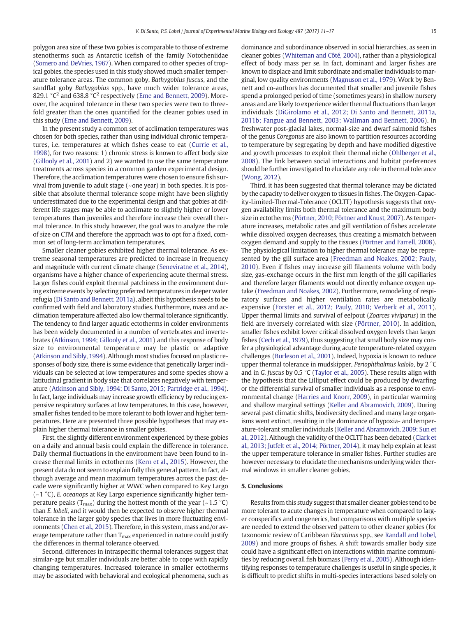polygon area size of these two gobies is comparable to those of extreme stenotherms such as Antarctic icefish of the family Nototheniidae [\(Somero and DeVries, 1967\)](#page-6-0). When compared to other species of tropical gobies, the species used in this study showed much smaller temperature tolerance areas. The common goby, Bathygobius fuscus, and the sandflat goby Bathygobius spp., have much wider tolerance areas, 829.1  $^{\circ}$ C<sup>2</sup> and 638.8  $^{\circ}$ C<sup>2</sup> respectively [\(Eme and Bennett, 2009\)](#page-5-0). Moreover, the acquired tolerance in these two species were two to threefold greater than the ones quantified for the cleaner gobies used in this study [\(Eme and Bennett, 2009\)](#page-5-0).

In the present study a common set of acclimation temperatures was chosen for both species, rather than using individual chronic temperatures, i.e. temperatures at which fishes cease to eat ([Currie et al.,](#page-5-0) [1998\)](#page-5-0), for two reasons: 1) chronic stress is known to affect body size [\(Gillooly et al., 2001](#page-5-0)) and 2) we wanted to use the same temperature treatments across species in a common garden experimental design. Therefore, the acclimation temperatures were chosen to ensure fish survival from juvenile to adult stage (~one year) in both species. It is possible that absolute thermal tolerance scope might have been slightly underestimated due to the experimental design and that gobies at different life stages may be able to acclimate to slightly higher or lower temperatures than juveniles and therefore increase their overall thermal tolerance. In this study however, the goal was to analyze the role of size on CTM and therefore the approach was to opt for a fixed, common set of long-term acclimation temperatures.

Smaller cleaner gobies exhibited higher thermal tolerance. As extreme seasonal temperatures are predicted to increase in frequency and magnitude with current climate change [\(Seneviratne et al., 2014](#page-6-0)), organisms have a higher chance of experiencing acute thermal stress. Larger fishes could exploit thermal patchiness in the environment during extreme events by selecting preferred temperatures in deeper water refugia [\(Di Santo and Bennett, 2011a\)](#page-5-0), albeit this hypothesis needs to be confirmed with field and laboratory studies. Furthermore, mass and acclimation temperature affected also low thermal tolerance significantly. The tendency to find larger aquatic ectotherms in colder environments has been widely documented in a number of vertebrates and invertebrates [\(Atkinson, 1994; Gillooly et al., 2001](#page-5-0)) and this response of body size to environmental temperature may be plastic or adaptive [\(Atkinson and Sibly, 1994](#page-5-0)). Although most studies focused on plastic responses of body size, there is some evidence that genetically larger individuals can be selected at low temperatures and some species show a latitudinal gradient in body size that correlates negatively with temperature ([Atkinson and Sibly, 1994; Di Santo, 2015; Partridge et al., 1994](#page-5-0)). In fact, large individuals may increase growth efficiency by reducing expensive respiratory surfaces at low temperatures. In this case, however, smaller fishes tended to be more tolerant to both lower and higher temperatures. Here are presented three possible hypotheses that may explain higher thermal tolerance in smaller gobies.

First, the slightly different environment experienced by these gobies on a daily and annual basis could explain the difference in tolerance. Daily thermal fluctuations in the environment have been found to increase thermal limits in ectotherms ([Kern et al., 2015](#page-5-0)). However, the present data do not seem to explain fully this general pattern. In fact, although average and mean maximum temperatures across the past decade were significantly higher at WWC when compared to Key Largo  $(-1 \degree C)$ , E. oceanops at Key Largo experience significantly higher temperature peaks ( $T_{\text{max}}$ ) during the hottest month of the year (~1.5 °C) than E. lobeli, and it would then be expected to observe higher thermal tolerance in the larger goby species that lives in more fluctuating environments [\(Chen et al., 2015](#page-5-0)). Therefore, in this system, mass and/or average temperature rather than  $T_{\text{max}}$  experienced in nature could justify the differences in thermal tolerance observed.

Second, differences in intraspecific thermal tolerances suggest that similar-age but smaller individuals are better able to cope with rapidly changing temperatures. Increased tolerance in smaller ectotherms may be associated with behavioral and ecological phenomena, such as

dominance and subordinance observed in social hierarchies, as seen in cleaner gobies ([Whiteman and Côté, 2004\)](#page-6-0), rather than a physiological effect of body mass per se. In fact, dominant and larger fishes are known to displace and limit subordinate and smaller individuals to marginal, low quality environments [\(Magnuson et al., 1979](#page-6-0)). Work by Bennett and co-authors has documented that smaller and juvenile fishes spend a prolonged period of time (sometimes years) in shallow nursery areas and are likely to experience wider thermal fluctuations than larger individuals ([DiGirolamo et al., 2012; Di Santo and Bennett, 2011a,](#page-5-0) [2011b; Fangue and Bennett, 2003; Wallman and Bennett, 2006](#page-5-0)). In freshwater post-glacial lakes, normal-size and dwarf salmonid fishes of the genus Coregonus are also known to partition resources according to temperature by segregating by depth and have modified digestive and growth processes to exploit their thermal niche [\(Ohlberger et al.,](#page-6-0) [2008\)](#page-6-0). The link between social interactions and habitat preferences should be further investigated to elucidate any role in thermal tolerance  $(Wong, 2012)$  $(Wong, 2012)$ 

Third, it has been suggested that thermal tolerance may be dictated by the capacity to deliver oxygen to tissues in fishes. The Oxygen-Capacity-Limited-Thermal-Tolerance (OCLTT) hypothesis suggests that oxygen availability limits both thermal tolerance and the maximum body size in ectotherms [\(Pörtner, 2010; Pörtner and Knust, 2007\)](#page-6-0). As temperature increases, metabolic rates and gill ventilation of fishes accelerate while dissolved oxygen decreases, thus creating a mismatch between oxygen demand and supply to the tissues [\(Pörtner and Farrell, 2008](#page-6-0)). The physiological limitation to higher thermal tolerance may be represented by the gill surface area ([Freedman and Noakes, 2002](#page-5-0); [Pauly,](#page-6-0) [2010\)](#page-6-0). Even if fishes may increase gill filaments volume with body size, gas-exchange occurs in the first mm length of the gill capillaries and therefore larger filaments would not directly enhance oxygen uptake [\(Freedman and Noakes, 2002](#page-5-0)). Furthermore, remodeling of respiratory surfaces and higher ventilation rates are metabolically expensive [\(Forster et al., 2012; Pauly, 2010; Verberk et al., 2011](#page-5-0)). Upper thermal limits and survival of eelpout (Zoarces viviparus) in the field are inversely correlated with size [\(Pörtner, 2010\)](#page-6-0). In addition, smaller fishes exhibit lower critical dissolved oxygen levels than larger fishes [\(Cech et al., 1979\)](#page-5-0), thus suggesting that small body size may confer a physiological advantage during acute temperature-related oxygen challenges ([Burleson et al., 2001](#page-5-0)). Indeed, hypoxia is known to reduce upper thermal tolerance in mudskipper, Periophthalmus kalolo, by 2 °C and in G. fuscus by 0.5 °C [\(Taylor et al., 2005\)](#page-6-0). These results align with the hypothesis that the Lilliput effect could be produced by dwarfing or the differential survival of smaller individuals as a response to environmental change ([Harries and Knorr, 2009\)](#page-5-0), in particular warming and shallow marginal settings ([Keller and Abramovich, 2009](#page-5-0)). During several past climatic shifts, biodiversity declined and many large organisms went extinct, resulting in the dominance of hypoxia- and temperature-tolerant smaller individuals ([Keller and Abramovich, 2009; Sun et](#page-5-0) [al., 2012\)](#page-5-0). Although the validity of the OCLTT has been debated ([Clark et](#page-5-0) [al., 2013; Jutfelt et al., 2014; Pörtner, 2014](#page-5-0)), it may help explain at least the upper temperature tolerance in smaller fishes. Further studies are however necessary to elucidate the mechanisms underlying wider thermal windows in smaller cleaner gobies.

#### 5. Conclusions

Results from this study suggest that smaller cleaner gobies tend to be more tolerant to acute changes in temperature when compared to larger conspecifics and congenerics, but comparisons with multiple species are needed to extend the observed pattern to other cleaner gobies (for taxonomic review of Caribbean Elacatinus spp., see [Randall and Lobel,](#page-6-0) [2009\)](#page-6-0) and more groups of fishes. A shift towards smaller body size could have a significant effect on interactions within marine communities by reducing overall fish biomass ([Perry et al., 2005](#page-6-0)). Although identifying responses to temperature challenges is useful in single species, it is difficult to predict shifts in multi-species interactions based solely on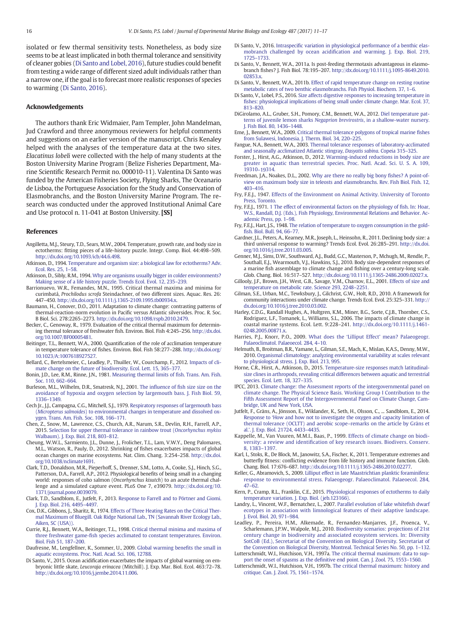<span id="page-5-0"></span>isolated or few thermal sensitivity tests. Nonetheless, as body size seems to be at least implicated in both thermal tolerance and sensitivity of cleaner gobies (Di Santo and Lobel, 2016), future studies could benefit from testing a wide range of different sized adult individuals rather than a narrow one, if the goal is to forecast more realistic responses of species to warming (Di Santo, 2016).

#### Acknowledgements

The authors thank Eric Widmaier, Pam Templer, John Mandelman, Jud Crawford and three anonymous reviewers for helpful comments and suggestions on an earlier version of the manuscript. Chris Kenaley helped with the analyses of the temperature data at the two sites. Elacatinus lobeli were collected with the help of many students at the Boston University Marine Program (Belize Fisheries Department, Marine Scientific Research Permit no. 000010-11). Valentina Di Santo was funded by the American Fisheries Society, Flying Sharks, The Oceanario de Lisboa, the Portuguese Association for the Study and Conservation of Elasmobranchs, and the Boston University Marine Program. The research was conducted under the approved Institutional Animal Care and Use protocol n. 11-041 at Boston University. [SS]

#### References

- Angilletta, M.J., Steury, T.D., Sears, M.W., 2004. Temperature, growth rate, and body size in ectotherms: fitting pieces of a life-history puzzle. Integr. Comp. Biol. 44:498–509. http://dx.doi.org[/10.1093/icb/44.6.498.](http://dx.doi.org/10.1093/icb/44.6.498)
- Atkinson, D., 1994. [Temperature and organism size: a biological law for ectotherms? Adv.](http://refhub.elsevier.com/S0022-0981(16)30242-8/rf0010) [Ecol. Res. 25, 1](http://refhub.elsevier.com/S0022-0981(16)30242-8/rf0010)–58.
- Atkinson, D., Sibly, R.M., 1994. [Why are organisms usually bigger in colder environments?](http://refhub.elsevier.com/S0022-0981(16)30242-8/rf0015) [Making sense of a life history puzzle. Trends Ecol. Evol. 12, 235](http://refhub.elsevier.com/S0022-0981(16)30242-8/rf0015)–239.
- Barrionuevo, W.R., Femandes, M.N., 1995. Critical thermal maxima and minima for curimbatá, Prochilodus scrofa Steindachner, of two different sizes. Aquac. Res. 26: 447–450. http://dx.doi.org/[10.1111/j.1365-2109.1995.tb00934.x.](http://dx.doi.org/10.1111/j.1365-2109.1995.tb00934.x)
- Baumann, H., Conover, D.O., 2011. Adaptation to climate change: contrasting patterns of thermal-reaction-norm evolution in Pacific versus Atlantic silversides. Proc. R. Soc. B Biol. Sci. 278:2265–2273. http://dx.doi.org[/10.1098/rspb.2010.2479.](http://dx.doi.org/10.1098/rspb.2010.2479)
- Becker, C., Genoway, R., 1979. Evaluation of the critical thermal maximum for determining thermal tolerance of freshwater fish. Environ. Biol. Fish 4:245–256. http://dx.doi. org[/10.1007/BF00005481](http://dx.doi.org/10.1007/BF00005481).
- Beitinger, T.L., Bennett, W.A., 2000. Quantification of the role of acclimation temperature in temperature tolerance of fishes. Environ. Biol. Fish 58:277–288. http://dx.doi.org/ [10.1023/A:1007618927527](http://dx.doi.org/10.1023/A:1007618927527).
- Bellard, C., Bertelsmeier, C., Leadley, P., Thuiller, W., Courchamp, F., 2012. [Impacts of cli](http://refhub.elsevier.com/S0022-0981(16)30242-8/rf0040)[mate change on the future of biodiversity. Ecol. Lett. 15, 365](http://refhub.elsevier.com/S0022-0981(16)30242-8/rf0040)–377.
- Bonin, J.D., Lee, R.M., Rinne, J.N., 1981. [Measuring thermal limits of](http://refhub.elsevier.com/S0022-0981(16)30242-8/rf0045) fish. Trans. Am. Fish. [Soc. 110, 662](http://refhub.elsevier.com/S0022-0981(16)30242-8/rf0045)–664.
- Burleson, M.L., Wilhelm, D.R., Smatresk, N.J., 2001. The influence of fi[sh size size on the](http://refhub.elsevier.com/S0022-0981(16)30242-8/rf0050) [avoidance of hypoxia and oxygen selection by largemouth bass. J. Fish Biol. 59,](http://refhub.elsevier.com/S0022-0981(16)30242-8/rf0050) 1336–[1349.](http://refhub.elsevier.com/S0022-0981(16)30242-8/rf0050)
- Cech Jr., J.J., Campagna, C.G., Mitchell, S.J., 1979. [Respiratory responses of largemouth bass](http://refhub.elsevier.com/S0022-0981(16)30242-8/rf0055) (Micropterus salmoides[\) to environmental changes in temperature and dissolved ox](http://refhub.elsevier.com/S0022-0981(16)30242-8/rf0055)[ygen. Trans. Am. Fish. Soc. 108, 166](http://refhub.elsevier.com/S0022-0981(16)30242-8/rf0055)–171.
- Chen, Z., Snow, M., Lawrence, C.S., Church, A.R., Narum, S.R., Devlin, R.H., Farrell, A.P., 2015. [Selection for upper thermal tolerance in rainbow trout \(](http://refhub.elsevier.com/S0022-0981(16)30242-8/rf0060)Oncorhynchus mykiss [Walbaum\). J. Exp. Biol. 218, 803](http://refhub.elsevier.com/S0022-0981(16)30242-8/rf0060)–812.
- Cheung, W.W.L., Sarmiento, J.L., Dunne, J., Frolicher, T.L., Lam, V.W.Y., Deng Palomares, M.L., Watson, R., Pauly, D., 2012. Shrinking of fishes exacerbates impacts of global ocean changes on marine ecosystems. Nat. Clim. Chang. 3:254–258. http://dx.doi. org[/10.1038/nclimate1691.](http://dx.doi.org/10.1038/nclimate1691)
- Clark, T.D., Donaldson, M.R., Pieperhoff, S., Drenner, S.M., Lotto, A., Cooke, S.J., Hinch, S.G., Patterson, D.A., Farrell, A.P., 2012. Physiological benefits of being small in a changing world: responses of coho salmon (Oncorhynchus kisutch) to an acute thermal challenge and a simulated capture event. PLoS One 7, e39079. http://dx.doi.org/[10.](http://dx.doi.org/10.1371/journal.pone.0039079) [1371/journal.pone.0039079](http://dx.doi.org/10.1371/journal.pone.0039079).
- Clark, T.D., Sandblom, E., Jutfelt, F., 2013. [Response to Farrell and to Pörtner and Giomi.](http://refhub.elsevier.com/S0022-0981(16)30242-8/rf0075) [J. Exp. Biol. 216, 4495](http://refhub.elsevier.com/S0022-0981(16)30242-8/rf0075)–4497.
- Cox, D.K., Gibbons, J., Sharitz, R., 1974. [Effects of Three Heating Rates on the Critical Ther](http://refhub.elsevier.com/S0022-0981(16)30242-8/rf0080)[mal Maximum of Bluegill. Oak Ridge National Lab., TN \(Savannah River Ecology Lab.,](http://refhub.elsevier.com/S0022-0981(16)30242-8/rf0080) [Aiken, SC \(USA\)\).](http://refhub.elsevier.com/S0022-0981(16)30242-8/rf0080)
- Currie, R.J., Bennett, W.A., Beitinger, T.L., 1998. [Critical thermal minima and maxima of](http://refhub.elsevier.com/S0022-0981(16)30242-8/rf0085) three freshwater game-fi[sh species acclimated to constant temperatures. Environ.](http://refhub.elsevier.com/S0022-0981(16)30242-8/rf0085) [Biol. Fish 51, 187](http://refhub.elsevier.com/S0022-0981(16)30242-8/rf0085)–200.
- Daufresne, M., Lengfellner, K., Sommer, U., 2009. [Global warming bene](http://refhub.elsevier.com/S0022-0981(16)30242-8/rf0090)fits the small in [aquatic ecosystems. Proc. Natl. Acad. Sci. 106, 12788](http://refhub.elsevier.com/S0022-0981(16)30242-8/rf0090).
- Di Santo, V., 2015. Ocean acidification exacerbates the impacts of global warming on embryonic little skate, Leucoraja erinacea (Mitchill). J. Exp. Mar. Biol. Ecol. 463:72–78. http://dx.doi.org[/10.1016/j.jembe.2014.11.006](http://dx.doi.org/10.1016/j.jembe.2014.11.006).
- Di Santo, V., 2016. Intraspecifi[c variation in physiological performance of a benthic elas](http://refhub.elsevier.com/S0022-0981(16)30242-8/rf0100)mobranch challenged by ocean acidifi[cation and warming. J. Exp. Biol. 219,](http://refhub.elsevier.com/S0022-0981(16)30242-8/rf0100) 1725–[1733.](http://refhub.elsevier.com/S0022-0981(16)30242-8/rf0100)
- Di Santo, V., Bennett, W.A., 2011a. Is post-feeding thermotaxis advantageous in elasmobranch fishes? J. Fish Biol. 78:195–207. http://dx.doi.org[/10.1111/j.1095-8649.2010.](http://dx.doi.org/10.1111/j.1095-8649.2010.02853.x) [02853.x](http://dx.doi.org/10.1111/j.1095-8649.2010.02853.x).
- Di Santo, V., Bennett, W.A., 2011b. [Effect of rapid temperature change on resting routine](http://refhub.elsevier.com/S0022-0981(16)30242-8/rf0110) [metabolic rates of two benthic elasmobranchs. Fish Physiol. Biochem. 37, 1](http://refhub.elsevier.com/S0022-0981(16)30242-8/rf0110)–6.
- Di Santo, V., Lobel, P.S., 2016. [Size affects digestive responses to increasing temperature in](http://refhub.elsevier.com/S0022-0981(16)30242-8/rf0115) fi[shes: physiological implications of being small under climate change. Mar. Ecol. 37,](http://refhub.elsevier.com/S0022-0981(16)30242-8/rf0115) 813–[820.](http://refhub.elsevier.com/S0022-0981(16)30242-8/rf0115)
- DiGirolamo, A.L., Gruber, S.H., Pomory, C.M., Bennett, W.A., 2012. [Diel temperature pat](http://refhub.elsevier.com/S0022-0981(16)30242-8/rf0120)[terns of juvenile lemon sharks](http://refhub.elsevier.com/S0022-0981(16)30242-8/rf0120) Negaprion brevirostris, in a shallow-water nursery. [J. Fish Biol. 80, 1436](http://refhub.elsevier.com/S0022-0981(16)30242-8/rf0120)–1448.
- Eme, J., Bennett, W.A., 2009. [Critical thermal tolerance polygons of tropical marine](http://refhub.elsevier.com/S0022-0981(16)30242-8/rf0125) fishes [from Sulawesi, Indonesia. J. Therm. Biol. 34, 220](http://refhub.elsevier.com/S0022-0981(16)30242-8/rf0125)–225.
- Fangue, N.A., Bennett, W.A., 2003. [Thermal tolerance responses of laboratory-acclimated](http://refhub.elsevier.com/S0022-0981(16)30242-8/rf0130) [and seasonally acclimatized Atlantic stingray,](http://refhub.elsevier.com/S0022-0981(16)30242-8/rf0130) Dasyatis sabina. Copeia 315–325.
- Forster, J., Hirst, A.G., Atkinson, D., 2012. [Warming-induced reductions in body size are](http://refhub.elsevier.com/S0022-0981(16)30242-8/rf0135) [greater in aquatic than terrestrial species. Proc. Natl. Acad. Sci. U. S. A. 109,](http://refhub.elsevier.com/S0022-0981(16)30242-8/rf0135) 19310–[19314.](http://refhub.elsevier.com/S0022-0981(16)30242-8/rf0135)
- Freedman, J.A., Noakes, D.L., 2002. [Why are there no really big bony](http://refhub.elsevier.com/S0022-0981(16)30242-8/rf0140) fishes? A point-of[view on maximum body size in teleosts and elasmobranchs. Rev. Fish Biol. Fish. 12,](http://refhub.elsevier.com/S0022-0981(16)30242-8/rf0140) 403–[416.](http://refhub.elsevier.com/S0022-0981(16)30242-8/rf0140)
- Fry, F.E.J., 1947. [Effects of the Environment on Animal Activity. University of Toronto](http://refhub.elsevier.com/S0022-0981(16)30242-8/rf0145) [Press, Toronto.](http://refhub.elsevier.com/S0022-0981(16)30242-8/rf0145)
- Fry, F.E.J., 1971. [1 The effect of environmental factors on the physiology of](http://refhub.elsevier.com/S0022-0981(16)30242-8/rf0150) fish. In: Hoar, [W.S., Randall, D.J. \(Eds.\), Fish Physiology, Environmental Relations and Behavior. Ac](http://refhub.elsevier.com/S0022-0981(16)30242-8/rf0150)[ademic Press, pp. 1](http://refhub.elsevier.com/S0022-0981(16)30242-8/rf0150)–98.
- Fry, F.E.J., Hart, J.S., 1948. [The relation of temperature to oxygen consumption in the gold](http://refhub.elsevier.com/S0022-0981(16)30242-8/rf0155)fi[sh. Biol. Bull. 94, 66](http://refhub.elsevier.com/S0022-0981(16)30242-8/rf0155)–77.
- Gardner, J.L., Peters, A., Kearney, M.R., Joseph, L., Heinsohn, R., 2011. Declining body size: a third universal response to warming? Trends Ecol. Evol. 26:285–291. http://dx.doi. org[/10.1016/j.tree.2011.03.005.](http://dx.doi.org/10.1016/j.tree.2011.03.005)
- Genner, M.J., Sims, D.W., Southward, A.J., Budd, G.C., Masterson, P., Mchugh, M., Rendle, P., Southall, E.J., Wearmouth, V.J., Hawkins, S.J., 2010. Body size-dependent responses of a marine fish assemblage to climate change and fishing over a century-long scale. Glob. Chang. Biol. 16:517–527. http://dx.doi.org[/10.1111/j.1365-2486.2009.02027.x.](http://dx.doi.org/10.1111/j.1365-2486.2009.02027.x)
- Gillooly, J.F., Brown, J.H., West, G.B., Savage, V.M., Charnov, E.L., 2001. [Effects of size and](http://refhub.elsevier.com/S0022-0981(16)30242-8/rf0170) [temperature on metabolic rate. Science 293, 2248](http://refhub.elsevier.com/S0022-0981(16)30242-8/rf0170)–2251.
- Gilman, S.E., Urban, M.C., Tewksbury, J., Gilchrist, G.W., Holt, R.D., 2010. A framework for community interactions under climate change. Trends Ecol. Evol. 25:325–331. http:// dx.doi.org[/10.1016/j.tree.2010.03.002](http://dx.doi.org/10.1016/j.tree.2010.03.002).
- Harley, C.D.G., Randall Hughes, A., Hultgren, K.M., Miner, B.G., Sorte, C.J.B., Thornber, C.S., Rodriguez, L.F., Tomanek, L., Williams, S.L., 2006. The impacts of climate change in coastal marine systems. Ecol. Lett. 9:228–241. http://dx.doi.org/[10.1111/j.1461-](http://dx.doi.org/10.1111/j.1461-0248.2005.00871.x) [0248.2005.00871.x](http://dx.doi.org/10.1111/j.1461-0248.2005.00871.x).
- Harries, P.J., Knorr, P.O., 2009. What does the 'Lilliput Effect' [mean? Palaeogeogr.](http://refhub.elsevier.com/S0022-0981(16)30242-8/rf0185) [Palaeoclimatol. Palaeoecol. 284, 4](http://refhub.elsevier.com/S0022-0981(16)30242-8/rf0185)–10.
- Helmuth, B., Broitman, B.R., Yamane, L., Gilman, S.E., Mach, K., Mislan, K.A.S., Denny, M.W., 2010. [Organismal climatology: analyzing environmental variability at scales relevant](http://refhub.elsevier.com/S0022-0981(16)30242-8/rf0190) [to physiological stress. J. Exp. Biol. 213, 995.](http://refhub.elsevier.com/S0022-0981(16)30242-8/rf0190)
- Horne, C.R., Hirst, A., Atkinson, D., 2015. [Temperature-size responses match latitudinal](http://refhub.elsevier.com/S0022-0981(16)30242-8/rf0195)[size clines in arthropods, revealing critical differences between aquatic and terrestrial](http://refhub.elsevier.com/S0022-0981(16)30242-8/rf0195) [species. Ecol. Lett. 18, 327](http://refhub.elsevier.com/S0022-0981(16)30242-8/rf0195)–335.
- IPCC, 2013. [Climate change: the Assessment reports of the intergovernmental panel on](http://refhub.elsevier.com/S0022-0981(16)30242-8/rf0200) [climate change. The Physical Science Basis. Working Group I Contribution to the](http://refhub.elsevier.com/S0022-0981(16)30242-8/rf0200) [Fifth Assessment Report of the Intergovernmental Panel on Climate Change, Cam](http://refhub.elsevier.com/S0022-0981(16)30242-8/rf0200)[bridge, UK and New York, USA](http://refhub.elsevier.com/S0022-0981(16)30242-8/rf0200).
- Jutfelt, F., Gräns, A., Jönsson, E., Wiklander, K., Seth, H., Olsson, C., ... Sandblom, E., 2014. Response to '[How and how not to investigate the oxygen and capacity limitation of](http://refhub.elsevier.com/S0022-0981(16)30242-8/rf0205) [thermal tolerance \(OCLTT\) and aerobic scope](http://refhub.elsevier.com/S0022-0981(16)30242-8/rf0205)–remarks on the article by Gräns et al.'[. J. Exp. Biol. 21724, 4433](http://refhub.elsevier.com/S0022-0981(16)30242-8/rf0205)–4435.
- Kappelle, M., Van Vuuren, M.M.I., Baas, P., 1999. [Effects of climate change on biodi](http://refhub.elsevier.com/S0022-0981(16)30242-8/rf0210)versity: a review and identifi[cation of key research issues. Biodivers. Conserv.](http://refhub.elsevier.com/S0022-0981(16)30242-8/rf0210) [8, 1383](http://refhub.elsevier.com/S0022-0981(16)30242-8/rf0210)–1397.
- Karl, I., Stoks, R., De Block, M., Janowitz, S.A., Fischer, K., 2011. Temperature extremes and butterfly fitness: conflicting evidence from life history and immune function. Glob. Chang. Biol. 17:676–687. http://dx.doi.org/[10.1111/j.1365-2486.2010.02277.](http://dx.doi.org/10.1111/j.1365-2486.2010.02277)
- Keller, G., Abramovich, S., 2009. [Lilliput effect in late Maastrichtian planktic foraminifera:](http://refhub.elsevier.com/S0022-0981(16)30242-8/rf0220) [response to environmental stress. Palaeogeogr. Palaeoclimatol. Palaeoecol. 284,](http://refhub.elsevier.com/S0022-0981(16)30242-8/rf0220) [47](http://refhub.elsevier.com/S0022-0981(16)30242-8/rf0220)–62.
- Kern, P., Cramp, R.L., Franklin, C.E., 2015. [Physiological responses of ectotherms to daily](http://refhub.elsevier.com/S0022-0981(16)30242-8/rf0225) [temperature variation. J. Exp. Biol. \(jeb.123166\)](http://refhub.elsevier.com/S0022-0981(16)30242-8/rf0225).
- Landry, L., Vincent, W.F., Bernatchez, L., 2007. [Parallel evolution of lake white](http://refhub.elsevier.com/S0022-0981(16)30242-8/rf0230)fish dwarf [ecotypes in association with limnological features of their adaptive landscape.](http://refhub.elsevier.com/S0022-0981(16)30242-8/rf0230) [J. Evol. Biol. 20, 971](http://refhub.elsevier.com/S0022-0981(16)30242-8/rf0230)–984.
- Leadley, P., Pereira, H.M., Alkemade, R., Fernandez-Manjarres, J.F., Proenca, V., Scharlemann, J.P.W., Walpole, M.J., 2010. [Biodiversity scenarios: projections of 21st](http://refhub.elsevier.com/S0022-0981(16)30242-8/rf0235) [century change in biodiversity and associated ecosystem services. In: Diversity](http://refhub.elsevier.com/S0022-0981(16)30242-8/rf0235) [SotCoB \(Ed.\), Secretariat of the Convention on Biological Diversity. Secretariat of](http://refhub.elsevier.com/S0022-0981(16)30242-8/rf0235) [the Convention on Biological Diversity, Montreal. Technical Series No. 50, pp. 1](http://refhub.elsevier.com/S0022-0981(16)30242-8/rf0235)–132.
- Lutterschmidt, W.I., Hutchison, V.H., 1997a. [The critical thermal maximum: data to sup](http://refhub.elsevier.com/S0022-0981(16)30242-8/rf0240)port the onset of spasms as the defi[nitive end point. Can. J. Zool. 75, 1553](http://refhub.elsevier.com/S0022-0981(16)30242-8/rf0240)–1560.
- Lutterschmidt, W.I., Hutchison, V.H., 1997b. [The critical thermal maximum: history and](http://refhub.elsevier.com/S0022-0981(16)30242-8/rf0245) [critique. Can. J. Zool. 75, 1561](http://refhub.elsevier.com/S0022-0981(16)30242-8/rf0245)–1574.